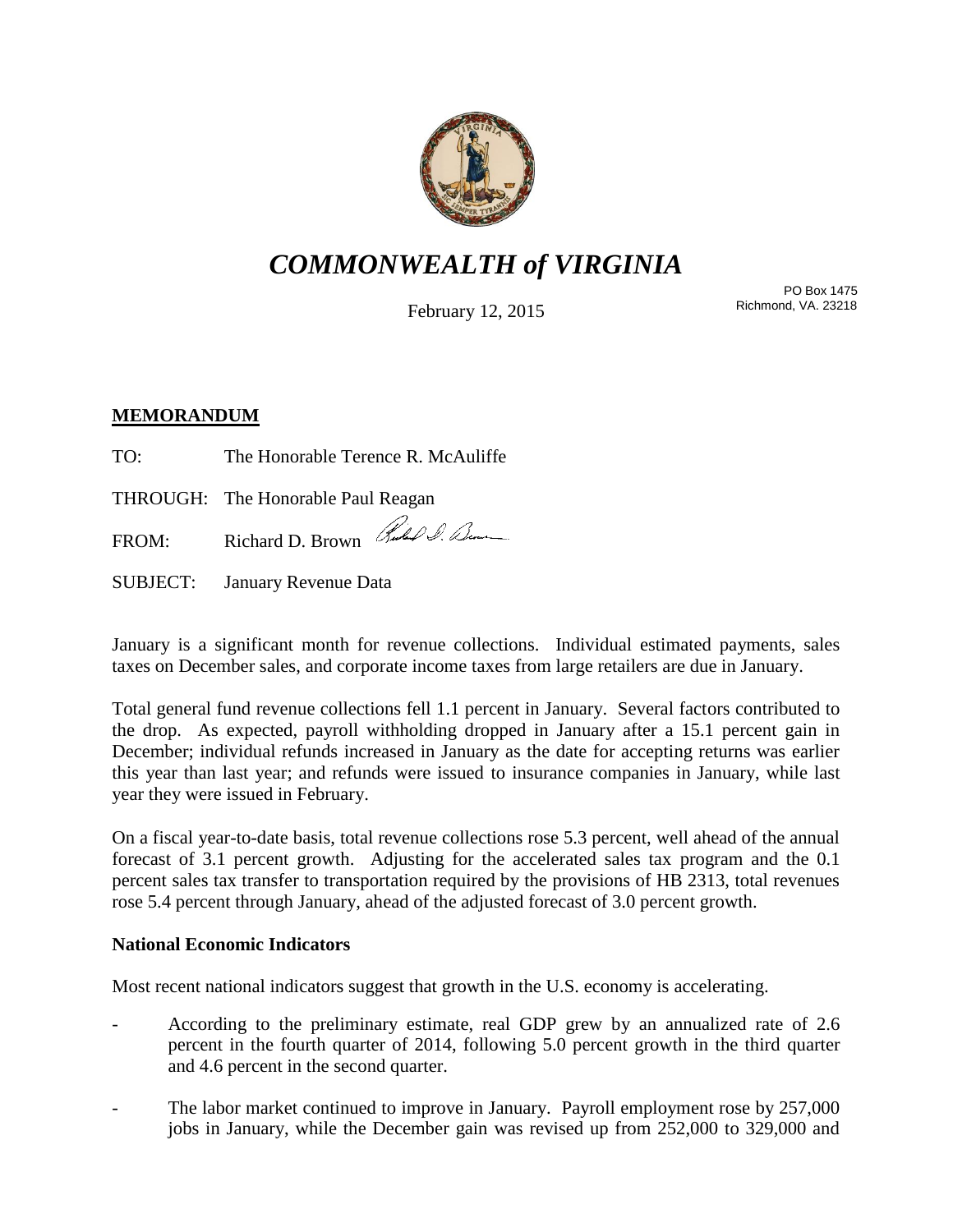

# *COMMONWEALTH of VIRGINIA*

February 12, 2015

PO Box 1475 Richmond, VA. 23218

## **MEMORANDUM**

TO: The Honorable Terence R. McAuliffe

THROUGH: The Honorable Paul Reagan

FROM: Richard D. Brown Rules & Bene

SUBJECT: January Revenue Data

January is a significant month for revenue collections. Individual estimated payments, sales taxes on December sales, and corporate income taxes from large retailers are due in January.

Total general fund revenue collections fell 1.1 percent in January. Several factors contributed to the drop. As expected, payroll withholding dropped in January after a 15.1 percent gain in December; individual refunds increased in January as the date for accepting returns was earlier this year than last year; and refunds were issued to insurance companies in January, while last year they were issued in February.

On a fiscal year-to-date basis, total revenue collections rose 5.3 percent, well ahead of the annual forecast of 3.1 percent growth. Adjusting for the accelerated sales tax program and the 0.1 percent sales tax transfer to transportation required by the provisions of HB 2313, total revenues rose 5.4 percent through January, ahead of the adjusted forecast of 3.0 percent growth.

## **National Economic Indicators**

Most recent national indicators suggest that growth in the U.S. economy is accelerating.

- According to the preliminary estimate, real GDP grew by an annualized rate of 2.6 percent in the fourth quarter of 2014, following 5.0 percent growth in the third quarter and 4.6 percent in the second quarter.
- The labor market continued to improve in January. Payroll employment rose by 257,000 jobs in January, while the December gain was revised up from 252,000 to 329,000 and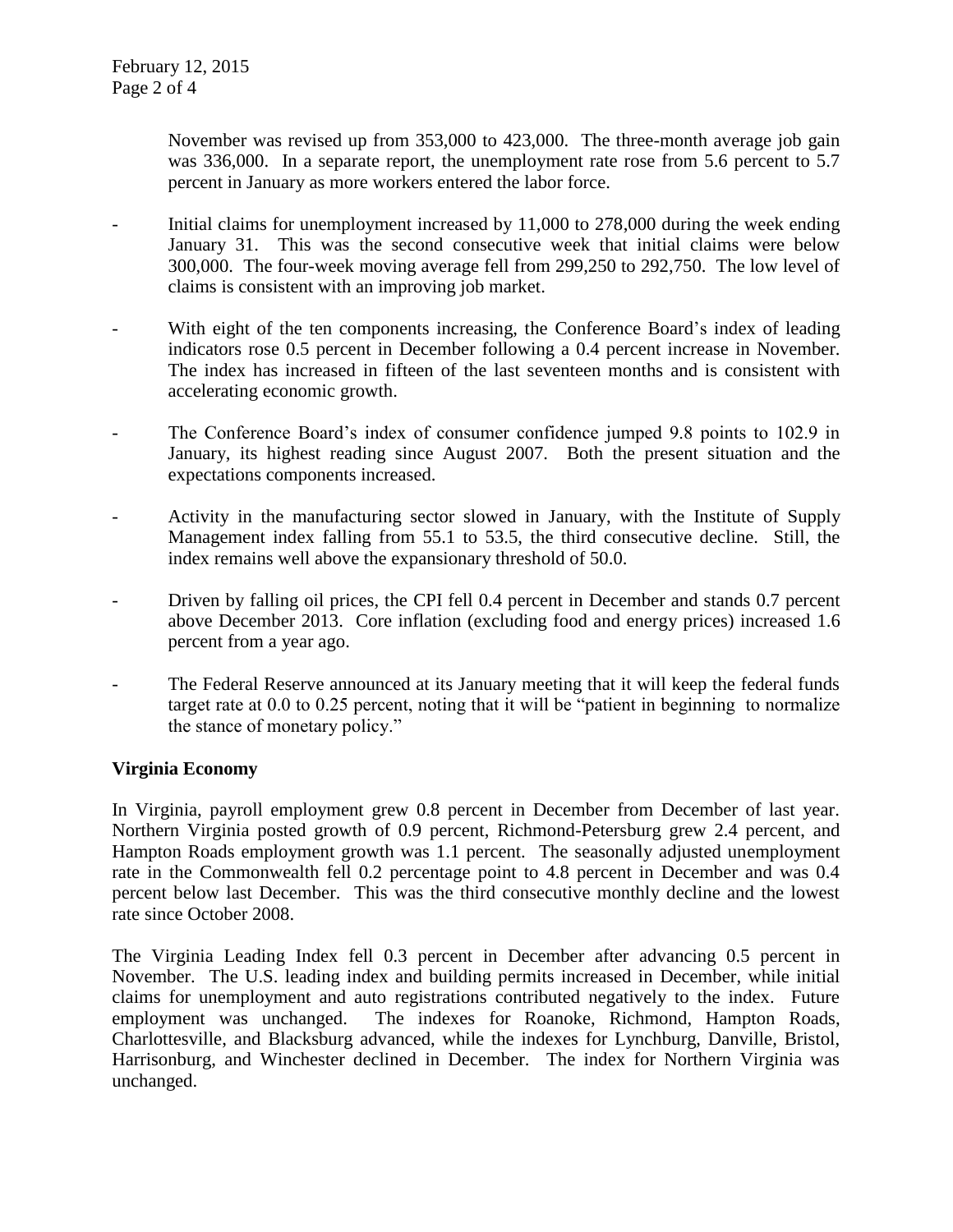November was revised up from 353,000 to 423,000. The three-month average job gain was 336,000. In a separate report, the unemployment rate rose from 5.6 percent to 5.7 percent in January as more workers entered the labor force.

- Initial claims for unemployment increased by  $11,000$  to  $278,000$  during the week ending January 31. This was the second consecutive week that initial claims were below 300,000. The four-week moving average fell from 299,250 to 292,750. The low level of claims is consistent with an improving job market.
- With eight of the ten components increasing, the Conference Board's index of leading indicators rose 0.5 percent in December following a 0.4 percent increase in November. The index has increased in fifteen of the last seventeen months and is consistent with accelerating economic growth.
- The Conference Board's index of consumer confidence jumped 9.8 points to 102.9 in January, its highest reading since August 2007. Both the present situation and the expectations components increased.
- Activity in the manufacturing sector slowed in January, with the Institute of Supply Management index falling from 55.1 to 53.5, the third consecutive decline. Still, the index remains well above the expansionary threshold of 50.0.
- Driven by falling oil prices, the CPI fell 0.4 percent in December and stands 0.7 percent above December 2013. Core inflation (excluding food and energy prices) increased 1.6 percent from a year ago.
- The Federal Reserve announced at its January meeting that it will keep the federal funds target rate at 0.0 to 0.25 percent, noting that it will be "patient in beginning to normalize the stance of monetary policy."

## **Virginia Economy**

In Virginia, payroll employment grew 0.8 percent in December from December of last year. Northern Virginia posted growth of 0.9 percent, Richmond-Petersburg grew 2.4 percent, and Hampton Roads employment growth was 1.1 percent. The seasonally adjusted unemployment rate in the Commonwealth fell 0.2 percentage point to 4.8 percent in December and was 0.4 percent below last December. This was the third consecutive monthly decline and the lowest rate since October 2008.

The Virginia Leading Index fell 0.3 percent in December after advancing 0.5 percent in November. The U.S. leading index and building permits increased in December, while initial claims for unemployment and auto registrations contributed negatively to the index. Future employment was unchanged. The indexes for Roanoke, Richmond, Hampton Roads, Charlottesville, and Blacksburg advanced, while the indexes for Lynchburg, Danville, Bristol, Harrisonburg, and Winchester declined in December. The index for Northern Virginia was unchanged.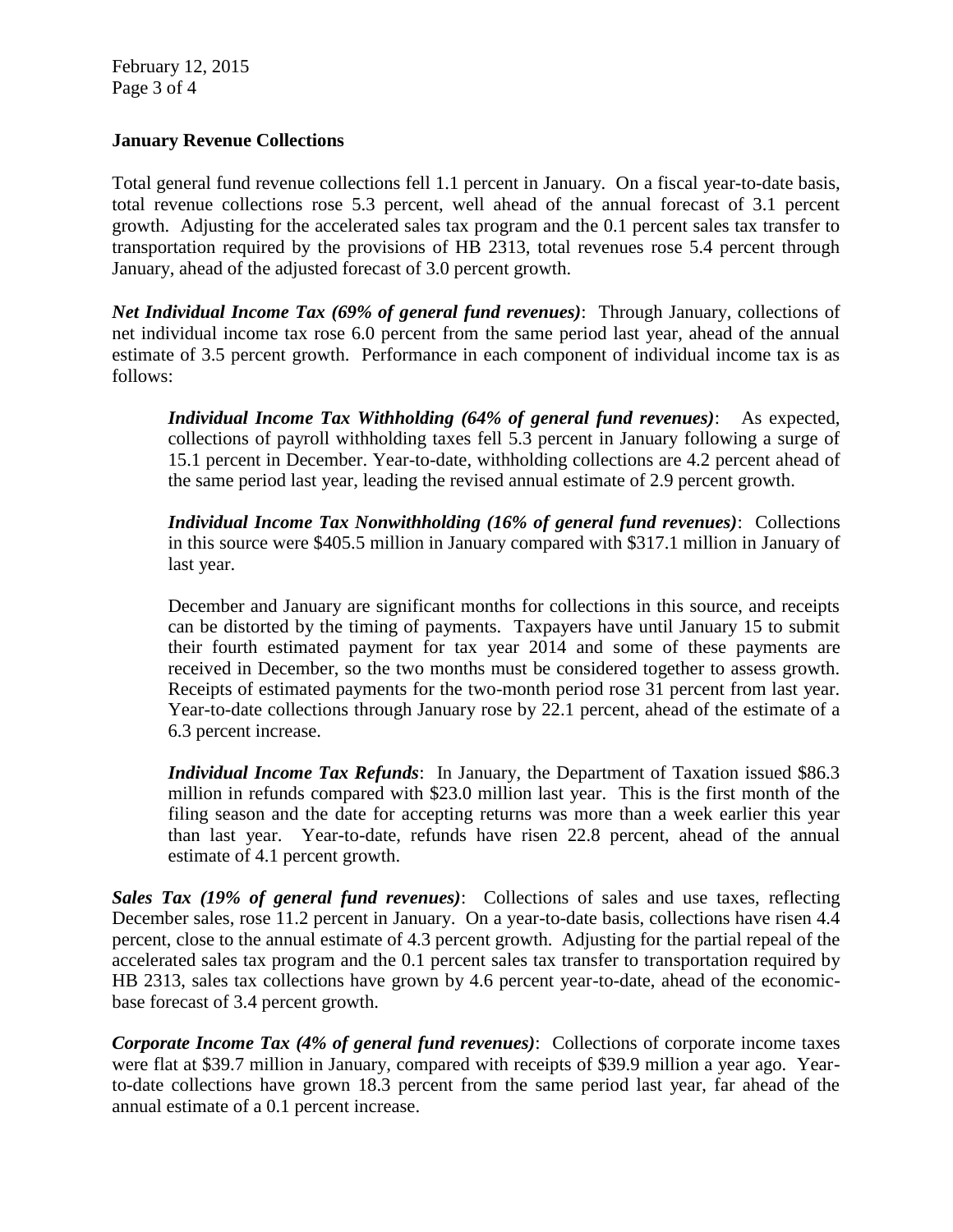February 12, 2015 Page 3 of 4

### **January Revenue Collections**

Total general fund revenue collections fell 1.1 percent in January. On a fiscal year-to-date basis, total revenue collections rose 5.3 percent, well ahead of the annual forecast of 3.1 percent growth. Adjusting for the accelerated sales tax program and the 0.1 percent sales tax transfer to transportation required by the provisions of HB 2313, total revenues rose 5.4 percent through January, ahead of the adjusted forecast of 3.0 percent growth.

*Net Individual Income Tax (69% of general fund revenues)*: Through January, collections of net individual income tax rose 6.0 percent from the same period last year, ahead of the annual estimate of 3.5 percent growth. Performance in each component of individual income tax is as follows:

*Individual Income Tax Withholding (64% of general fund revenues)*: As expected, collections of payroll withholding taxes fell 5.3 percent in January following a surge of 15.1 percent in December. Year-to-date, withholding collections are 4.2 percent ahead of the same period last year, leading the revised annual estimate of 2.9 percent growth.

*Individual Income Tax Nonwithholding (16% of general fund revenues)*: Collections in this source were \$405.5 million in January compared with \$317.1 million in January of last year.

December and January are significant months for collections in this source, and receipts can be distorted by the timing of payments. Taxpayers have until January 15 to submit their fourth estimated payment for tax year 2014 and some of these payments are received in December, so the two months must be considered together to assess growth. Receipts of estimated payments for the two-month period rose 31 percent from last year. Year-to-date collections through January rose by 22.1 percent, ahead of the estimate of a 6.3 percent increase.

*Individual Income Tax Refunds*: In January, the Department of Taxation issued \$86.3 million in refunds compared with \$23.0 million last year. This is the first month of the filing season and the date for accepting returns was more than a week earlier this year than last year. Year-to-date, refunds have risen 22.8 percent, ahead of the annual estimate of 4.1 percent growth.

*Sales Tax (19% of general fund revenues)*: Collections of sales and use taxes, reflecting December sales, rose 11.2 percent in January. On a year-to-date basis, collections have risen 4.4 percent, close to the annual estimate of 4.3 percent growth. Adjusting for the partial repeal of the accelerated sales tax program and the 0.1 percent sales tax transfer to transportation required by HB 2313, sales tax collections have grown by 4.6 percent year-to-date, ahead of the economicbase forecast of 3.4 percent growth.

*Corporate Income Tax (4% of general fund revenues)*: Collections of corporate income taxes were flat at \$39.7 million in January, compared with receipts of \$39.9 million a year ago. Yearto-date collections have grown 18.3 percent from the same period last year, far ahead of the annual estimate of a 0.1 percent increase.